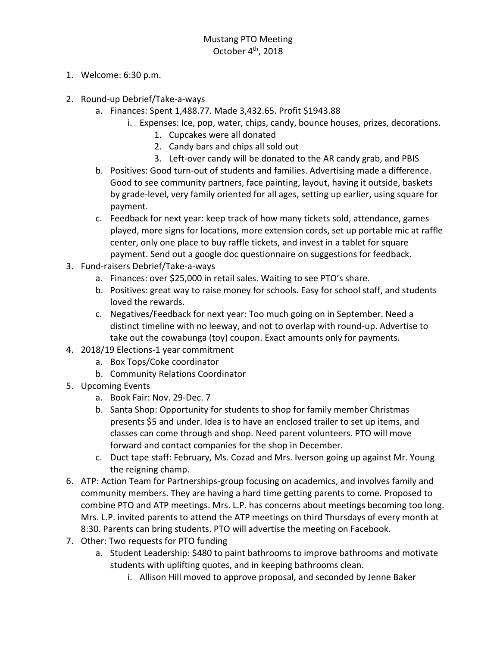- 1. Welcome: 6:30 p.m.
- 2. Round-up Debrief/Take-a-ways
	- a. Finances: Spent 1,488.77. Made 3,432.65. Profit \$1943.88
		- i. Expenses: Ice, pop, water, chips, candy, bounce houses, prizes, decorations.
			- 1. Cupcakes were all donated
			- 2. Candy bars and chips all sold out
			- 3. Left-over candy will be donated to the AR candy grab, and PBIS
	- b. Positives: Good turn-out of students and families. Advertising made a difference. Good to see community partners, face painting, layout, having it outside, baskets by grade-level, very family oriented for all ages, setting up earlier, using square for payment.
	- c. Feedback for next year: keep track of how many tickets sold, attendance, games played, more signs for locations, more extension cords, set up portable mic at raffle center, only one place to buy raffle tickets, and invest in a tablet for square payment. Send out a google doc questionnaire on suggestions for feedback.
- 3. Fund-raisers Debrief/Take-a-ways
	- a. Finances: over \$25,000 in retail sales. Waiting to see PTO's share.
	- b. Positives: great way to raise money for schools. Easy for school staff, and students loved the rewards.
	- c. Negatives/Feedback for next year: Too much going on in September. Need a distinct timeline with no leeway, and not to overlap with round-up. Advertise to take out the cowabunga (toy) coupon. Exact amounts only for payments.
- 4. 2018/19 Elections-1 year commitment
	- a. Box Tops/Coke coordinator
	- b. Community Relations Coordinator
- 5. Upcoming Events
	- a. Book Fair: Nov. 29-Dec. 7
	- b. Santa Shop: Opportunity for students to shop for family member Christmas presents \$5 and under. Idea is to have an enclosed trailer to set up items, and classes can come through and shop. Need parent volunteers. PTO will move forward and contact companies for the shop in December.
	- c. Duct tape staff: February, Ms. Cozad and Mrs. Iverson going up against Mr. Young the reigning champ.
- 6. ATP: Action Team for Partnerships-group focusing on academics, and involves family and community members. They are having a hard time getting parents to come. Proposed to combine PTO and ATP meetings. Mrs. L.P. has concerns about meetings becoming too long. Mrs. L.P. invited parents to attend the ATP meetings on third Thursdays of every month at 8:30. Parents can bring students. PTO will advertise the meeting on Facebook.
- 7. Other: Two requests for PTO funding
	- a. Student Leadership: \$480 to paint bathrooms to improve bathrooms and motivate students with uplifting quotes, and in keeping bathrooms clean.
		- i. Allison Hill moved to approve proposal, and seconded by Jenne Baker